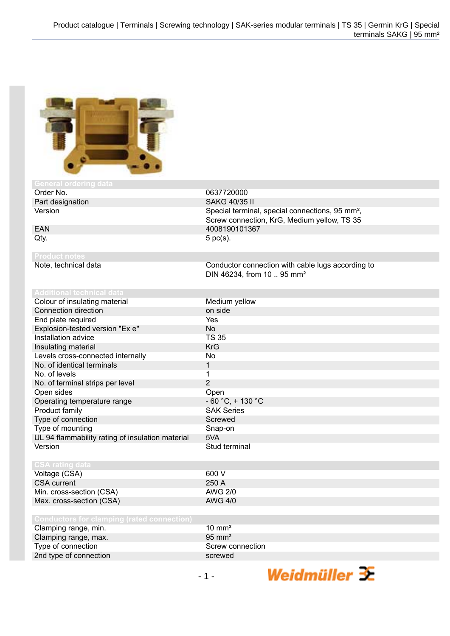

| 901 DI GI OTOGI II GI GULU. |            |
|-----------------------------|------------|
| Order No.                   | 0637720000 |

Part designation SAKG 40/35 II<br>Version Special termina

**Product notes**

Special terminal, special connections, 95 mm<sup>2</sup>, Screw connection, KrG, Medium yellow, TS 35 EAN 4008190101367<br>Qty. 5 pc(s).  $5$  pc(s).

Note, technical data Conductor connection with cable lugs according to DIN 46234, from 10 .. 95 mm²

| <b>Additional technical data</b>                 |                      |
|--------------------------------------------------|----------------------|
| Colour of insulating material                    | Medium yellow        |
| Connection direction                             | on side              |
| End plate required                               | Yes                  |
| Explosion-tested version "Ex e"                  | <b>No</b>            |
| Installation advice                              | <b>TS 35</b>         |
| Insulating material                              | <b>KrG</b>           |
| Levels cross-connected internally                | No                   |
| No. of identical terminals                       | 1                    |
| No. of levels                                    |                      |
| No. of terminal strips per level                 | $\overline{2}$       |
| Open sides                                       | Open                 |
| Operating temperature range                      | $-60 °C$ , $+130 °C$ |
| Product family                                   | <b>SAK Series</b>    |
| Type of connection                               | Screwed              |
| Type of mounting                                 | Snap-on              |
| UL 94 flammability rating of insulation material | 5VA                  |
| Version                                          | Stud terminal        |
|                                                  |                      |
| <b>CSA rating data</b>                           |                      |
| Voltage (CSA)                                    | 600 V                |
| <b>CSA current</b>                               | 250 A                |
| Min. cross-section (CSA)                         | <b>AWG 2/0</b>       |
| Max. cross-section (CSA)                         | <b>AWG 4/0</b>       |
|                                                  |                      |
| Conductors for clamping (rated connection)       |                      |

| <b>OUTUBLO DE CENTEMIN HALGU CONNUCLION</b> |                   |
|---------------------------------------------|-------------------|
| Clamping range, min.                        | $10 \text{ mm}^2$ |

| Clamping range, max.   | $95 \text{ mm}^2$ |
|------------------------|-------------------|
| Type of connection     | Screw connection  |
| 2nd type of connection | screwed           |

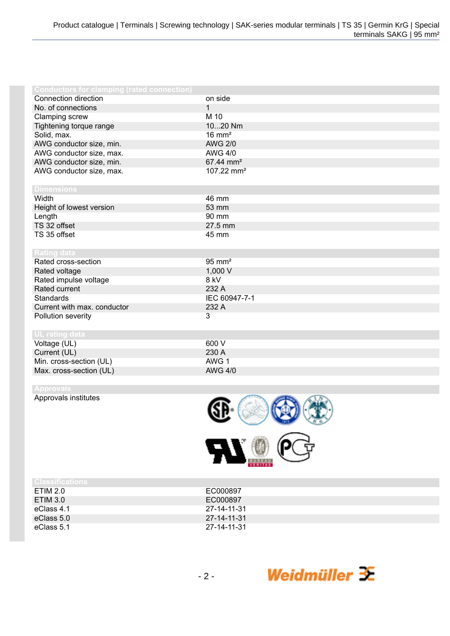| <b>Conductors for clamping (rated connection)</b> |                        |
|---------------------------------------------------|------------------------|
| Connection direction                              | on side                |
| No. of connections                                | 1                      |
| Clamping screw                                    | M 10                   |
| Tightening torque range                           | 1020 Nm                |
| Solid, max.                                       | $16 \text{ mm}^2$      |
| AWG conductor size, min.                          | <b>AWG 2/0</b>         |
| AWG conductor size, max.                          | <b>AWG 4/0</b>         |
| AWG conductor size, min.                          | 67.44 mm <sup>2</sup>  |
| AWG conductor size, max.                          | 107.22 mm <sup>2</sup> |
|                                                   |                        |
| <b>Dimensions</b>                                 |                        |
| Width                                             | 46 mm                  |
| Height of lowest version                          | 53 mm                  |
| Length                                            | 90 mm                  |
| TS 32 offset                                      | 27.5 mm                |
| TS 35 offset                                      | 45 mm                  |
|                                                   |                        |
| <b>Rating data</b>                                |                        |
| Rated cross-section                               | $95 \text{ mm}^2$      |
| Rated voltage                                     | 1,000 V                |
| Rated impulse voltage                             | 8 kV                   |
| Rated current                                     | 232 A                  |
| <b>Standards</b>                                  | IEC 60947-7-1          |
| Current with max. conductor                       | 232 A                  |
| Pollution severity                                | 3                      |
|                                                   |                        |
| UL rating data                                    |                        |
| Voltage (UL)                                      | 600 V                  |
| Current (UL)                                      | 230 A                  |
| Min. cross-section (UL)                           | AWG 1                  |
| Max. cross-section (UL)                           | <b>AWG 4/0</b>         |

Approvals institutes



| I URSSI IGALIONS. |             |
|-------------------|-------------|
| ETIM 2.0          | EC000897    |
| ETIM 3.0          | EC000897    |
| eClass 4.1        | 27-14-11-31 |
| eClass 5.0        | 27-14-11-31 |
| eClass 5.1        | 27-14-11-31 |